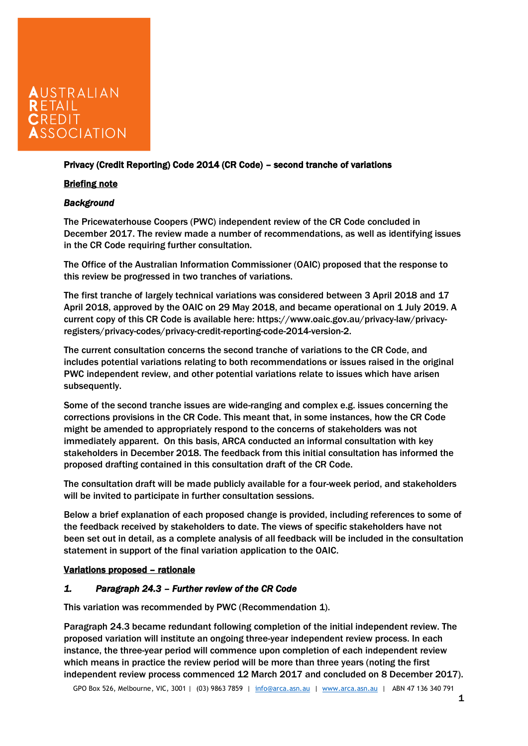# **CREDIT<br>ASSOCIATION**

#### Privacy (Credit Reporting) Code 2014 (CR Code) – second tranche of variations

#### Briefing note

#### *Background*

The Pricewaterhouse Coopers (PWC) independent review of the CR Code concluded in December 2017. The review made a number of recommendations, as well as identifying issues in the CR Code requiring further consultation.

The Office of the Australian Information Commissioner (OAIC) proposed that the response to this review be progressed in two tranches of variations.

The first tranche of largely technical variations was considered between 3 April 2018 and 17 April 2018, approved by the OAIC on 29 May 2018, and became operational on 1 July 2019. A current copy of this CR Code is available here: https://www.oaic.gov.au/privacy-law/privacyregisters/privacy-codes/privacy-credit-reporting-code-2014-version-2.

The current consultation concerns the second tranche of variations to the CR Code, and includes potential variations relating to both recommendations or issues raised in the original PWC independent review, and other potential variations relate to issues which have arisen subsequently.

Some of the second tranche issues are wide-ranging and complex e.g. issues concerning the corrections provisions in the CR Code. This meant that, in some instances, how the CR Code might be amended to appropriately respond to the concerns of stakeholders was not immediately apparent. On this basis, ARCA conducted an informal consultation with key stakeholders in December 2018. The feedback from this initial consultation has informed the proposed drafting contained in this consultation draft of the CR Code.

The consultation draft will be made publicly available for a four-week period, and stakeholders will be invited to participate in further consultation sessions.

Below a brief explanation of each proposed change is provided, including references to some of the feedback received by stakeholders to date. The views of specific stakeholders have not been set out in detail, as a complete analysis of all feedback will be included in the consultation statement in support of the final variation application to the OAIC.

#### Variations proposed – rationale

#### *1. Paragraph 24.3 – Further review of the CR Code*

This variation was recommended by PWC (Recommendation 1).

Paragraph 24.3 became redundant following completion of the initial independent review. The proposed variation will institute an ongoing three-year independent review process. In each instance, the three-year period will commence upon completion of each independent review which means in practice the review period will be more than three years (noting the first independent review process commenced 12 March 2017 and concluded on 8 December 2017).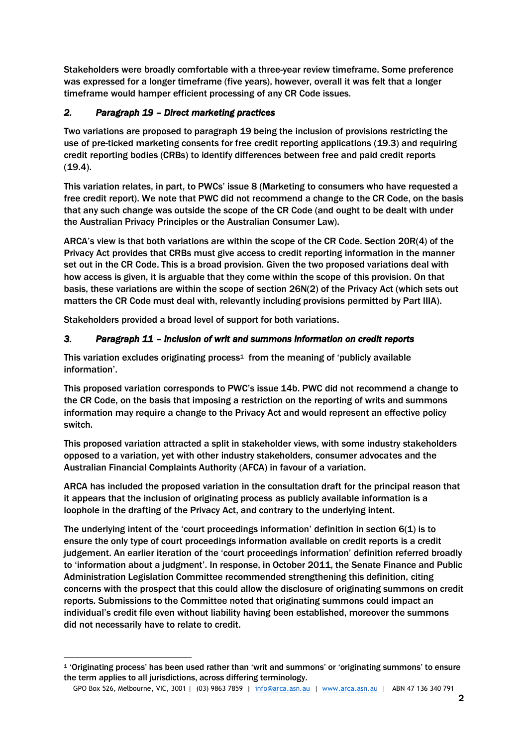Stakeholders were broadly comfortable with a three-year review timeframe. Some preference was expressed for a longer timeframe (five years), however, overall it was felt that a longer timeframe would hamper efficient processing of any CR Code issues.

# *2. Paragraph 19 – Direct marketing practices*

Two variations are proposed to paragraph 19 being the inclusion of provisions restricting the use of pre-ticked marketing consents for free credit reporting applications (19.3) and requiring credit reporting bodies (CRBs) to identify differences between free and paid credit reports  $(19.4)$ .

This variation relates, in part, to PWCs' issue 8 (Marketing to consumers who have requested a free credit report). We note that PWC did not recommend a change to the CR Code, on the basis that any such change was outside the scope of the CR Code (and ought to be dealt with under the Australian Privacy Principles or the Australian Consumer Law).

ARCA's view is that both variations are within the scope of the CR Code. Section 20R(4) of the Privacy Act provides that CRBs must give access to credit reporting information in the manner set out in the CR Code. This is a broad provision. Given the two proposed variations deal with how access is given, it is arguable that they come within the scope of this provision. On that basis, these variations are within the scope of section 26N(2) of the Privacy Act (which sets out matters the CR Code must deal with, relevantly including provisions permitted by Part IIIA).

Stakeholders provided a broad level of support for both variations.

# *3. Paragraph 11 – inclusion of writ and summons information on credit reports*

This variation excludes originating process<sup>1</sup> from the meaning of 'publicly available information'.

This proposed variation corresponds to PWC's issue 14b. PWC did not recommend a change to the CR Code, on the basis that imposing a restriction on the reporting of writs and summons information may require a change to the Privacy Act and would represent an effective policy switch.

This proposed variation attracted a split in stakeholder views, with some industry stakeholders opposed to a variation, yet with other industry stakeholders, consumer advocates and the Australian Financial Complaints Authority (AFCA) in favour of a variation.

ARCA has included the proposed variation in the consultation draft for the principal reason that it appears that the inclusion of originating process as publicly available information is a loophole in the drafting of the Privacy Act, and contrary to the underlying intent.

The underlying intent of the 'court proceedings information' definition in section 6(1) is to ensure the only type of court proceedings information available on credit reports is a credit judgement. An earlier iteration of the 'court proceedings information' definition referred broadly to 'information about a judgment'. In response, in October 2011, the Senate Finance and Public Administration Legislation Committee recommended strengthening this definition, citing concerns with the prospect that this could allow the disclosure of originating summons on credit reports. Submissions to the Committee noted that originating summons could impact an individual's credit file even without liability having been established, moreover the summons did not necessarily have to relate to credit.

-

<sup>1</sup> 'Originating process' has been used rather than 'writ and summons' or 'originating summons' to ensure the term applies to all jurisdictions, across differing terminology.

GPO Box 526, Melbourne, VIC, 3001 | (03) 9863 7859 | [info@arca.asn.au](mailto:info@arca.asn.au) | [www.arca.asn.au](http://www.arca.asn.au/) | ABN 47 136 340 791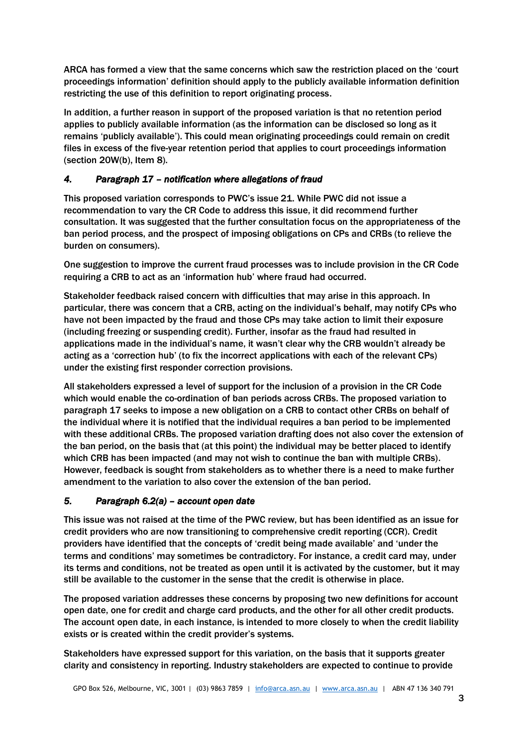ARCA has formed a view that the same concerns which saw the restriction placed on the 'court proceedings information' definition should apply to the publicly available information definition restricting the use of this definition to report originating process.

In addition, a further reason in support of the proposed variation is that no retention period applies to publicly available information (as the information can be disclosed so long as it remains 'publicly available'). This could mean originating proceedings could remain on credit files in excess of the five-year retention period that applies to court proceedings information (section 20W(b), Item 8).

# *4. Paragraph 17 – notification where allegations of fraud*

This proposed variation corresponds to PWC's issue 21. While PWC did not issue a recommendation to vary the CR Code to address this issue, it did recommend further consultation. It was suggested that the further consultation focus on the appropriateness of the ban period process, and the prospect of imposing obligations on CPs and CRBs (to relieve the burden on consumers).

One suggestion to improve the current fraud processes was to include provision in the CR Code requiring a CRB to act as an 'information hub' where fraud had occurred.

Stakeholder feedback raised concern with difficulties that may arise in this approach. In particular, there was concern that a CRB, acting on the individual's behalf, may notify CPs who have not been impacted by the fraud and those CPs may take action to limit their exposure (including freezing or suspending credit). Further, insofar as the fraud had resulted in applications made in the individual's name, it wasn't clear why the CRB wouldn't already be acting as a 'correction hub' (to fix the incorrect applications with each of the relevant CPs) under the existing first responder correction provisions.

All stakeholders expressed a level of support for the inclusion of a provision in the CR Code which would enable the co-ordination of ban periods across CRBs. The proposed variation to paragraph 17 seeks to impose a new obligation on a CRB to contact other CRBs on behalf of the individual where it is notified that the individual requires a ban period to be implemented with these additional CRBs. The proposed variation drafting does not also cover the extension of the ban period, on the basis that (at this point) the individual may be better placed to identify which CRB has been impacted (and may not wish to continue the ban with multiple CRBs). However, feedback is sought from stakeholders as to whether there is a need to make further amendment to the variation to also cover the extension of the ban period.

#### *5. Paragraph 6.2(a) – account open date*

This issue was not raised at the time of the PWC review, but has been identified as an issue for credit providers who are now transitioning to comprehensive credit reporting (CCR). Credit providers have identified that the concepts of 'credit being made available' and 'under the terms and conditions' may sometimes be contradictory. For instance, a credit card may, under its terms and conditions, not be treated as open until it is activated by the customer, but it may still be available to the customer in the sense that the credit is otherwise in place.

The proposed variation addresses these concerns by proposing two new definitions for account open date, one for credit and charge card products, and the other for all other credit products. The account open date, in each instance, is intended to more closely to when the credit liability exists or is created within the credit provider's systems.

Stakeholders have expressed support for this variation, on the basis that it supports greater clarity and consistency in reporting. Industry stakeholders are expected to continue to provide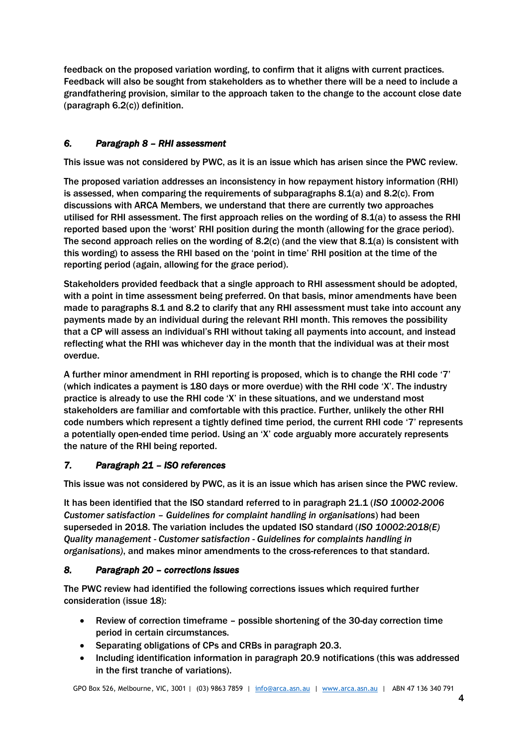feedback on the proposed variation wording, to confirm that it aligns with current practices. Feedback will also be sought from stakeholders as to whether there will be a need to include a grandfathering provision, similar to the approach taken to the change to the account close date (paragraph 6.2(c)) definition.

# *6. Paragraph 8 – RHI assessment*

This issue was not considered by PWC, as it is an issue which has arisen since the PWC review.

The proposed variation addresses an inconsistency in how repayment history information (RHI) is assessed, when comparing the requirements of subparagraphs 8.1(a) and 8.2(c). From discussions with ARCA Members, we understand that there are currently two approaches utilised for RHI assessment. The first approach relies on the wording of 8.1(a) to assess the RHI reported based upon the 'worst' RHI position during the month (allowing for the grace period). The second approach relies on the wording of  $8.2(c)$  (and the view that  $8.1(a)$  is consistent with this wording) to assess the RHI based on the 'point in time' RHI position at the time of the reporting period (again, allowing for the grace period).

Stakeholders provided feedback that a single approach to RHI assessment should be adopted, with a point in time assessment being preferred. On that basis, minor amendments have been made to paragraphs 8.1 and 8.2 to clarify that any RHI assessment must take into account any payments made by an individual during the relevant RHI month. This removes the possibility that a CP will assess an individual's RHI without taking all payments into account, and instead reflecting what the RHI was whichever day in the month that the individual was at their most overdue.

A further minor amendment in RHI reporting is proposed, which is to change the RHI code '7' (which indicates a payment is 180 days or more overdue) with the RHI code 'X'. The industry practice is already to use the RHI code 'X' in these situations, and we understand most stakeholders are familiar and comfortable with this practice. Further, unlikely the other RHI code numbers which represent a tightly defined time period, the current RHI code '7' represents a potentially open-ended time period. Using an 'X' code arguably more accurately represents the nature of the RHI being reported.

# *7. Paragraph 21 – ISO references*

This issue was not considered by PWC, as it is an issue which has arisen since the PWC review.

It has been identified that the ISO standard referred to in paragraph 21.1 (*ISO 10002-2006 Customer satisfaction – Guidelines for complaint handling in organisations*) had been superseded in 2018. The variation includes the updated ISO standard (*ISO 10002:2018(E) Quality management - Customer satisfaction - Guidelines for complaints handling in organisations)*, and makes minor amendments to the cross-references to that standard.

# *8. Paragraph 20 – corrections issues*

The PWC review had identified the following corrections issues which required further consideration (issue 18):

- Review of correction timeframe possible shortening of the 30-day correction time period in certain circumstances.
- Separating obligations of CPs and CRBs in paragraph 20.3.
- Including identification information in paragraph 20.9 notifications (this was addressed in the first tranche of variations).

GPO Box 526, Melbourne, VIC, 3001 | (03) 9863 7859 | [info@arca.asn.au](mailto:info@arca.asn.au) | [www.arca.asn.au](http://www.arca.asn.au/) | ABN 47 136 340 791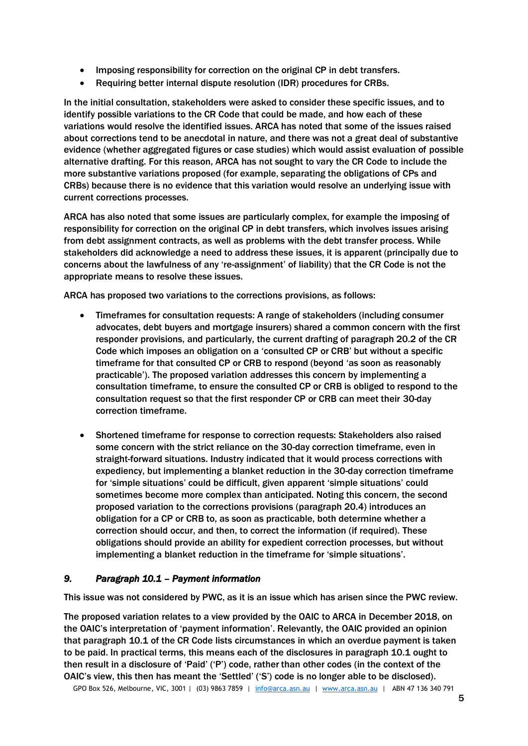- Imposing responsibility for correction on the original CP in debt transfers.
- Requiring better internal dispute resolution (IDR) procedures for CRBs.

In the initial consultation, stakeholders were asked to consider these specific issues, and to identify possible variations to the CR Code that could be made, and how each of these variations would resolve the identified issues. ARCA has noted that some of the issues raised about corrections tend to be anecdotal in nature, and there was not a great deal of substantive evidence (whether aggregated figures or case studies) which would assist evaluation of possible alternative drafting. For this reason, ARCA has not sought to vary the CR Code to include the more substantive variations proposed (for example, separating the obligations of CPs and CRBs) because there is no evidence that this variation would resolve an underlying issue with current corrections processes.

ARCA has also noted that some issues are particularly complex, for example the imposing of responsibility for correction on the original CP in debt transfers, which involves issues arising from debt assignment contracts, as well as problems with the debt transfer process. While stakeholders did acknowledge a need to address these issues, it is apparent (principally due to concerns about the lawfulness of any 're-assignment' of liability) that the CR Code is not the appropriate means to resolve these issues.

ARCA has proposed two variations to the corrections provisions, as follows:

- Timeframes for consultation requests: A range of stakeholders (including consumer advocates, debt buyers and mortgage insurers) shared a common concern with the first responder provisions, and particularly, the current drafting of paragraph 20.2 of the CR Code which imposes an obligation on a 'consulted CP or CRB' but without a specific timeframe for that consulted CP or CRB to respond (beyond 'as soon as reasonably practicable'). The proposed variation addresses this concern by implementing a consultation timeframe, to ensure the consulted CP or CRB is obliged to respond to the consultation request so that the first responder CP or CRB can meet their 30-day correction timeframe.
- Shortened timeframe for response to correction requests: Stakeholders also raised some concern with the strict reliance on the 30-day correction timeframe, even in straight-forward situations. Industry indicated that it would process corrections with expediency, but implementing a blanket reduction in the 30-day correction timeframe for 'simple situations' could be difficult, given apparent 'simple situations' could sometimes become more complex than anticipated. Noting this concern, the second proposed variation to the corrections provisions (paragraph 20.4) introduces an obligation for a CP or CRB to, as soon as practicable, both determine whether a correction should occur, and then, to correct the information (if required). These obligations should provide an ability for expedient correction processes, but without implementing a blanket reduction in the timeframe for 'simple situations'.

# *9. Paragraph 10.1 – Payment information*

This issue was not considered by PWC, as it is an issue which has arisen since the PWC review.

The proposed variation relates to a view provided by the OAIC to ARCA in December 2018, on the OAIC's interpretation of 'payment information'. Relevantly, the OAIC provided an opinion that paragraph 10.1 of the CR Code lists circumstances in which an overdue payment is taken to be paid. In practical terms, this means each of the disclosures in paragraph 10.1 ought to then result in a disclosure of 'Paid' ('P') code, rather than other codes (in the context of the OAIC's view, this then has meant the 'Settled' ('S') code is no longer able to be disclosed).

GPO Box 526, Melbourne, VIC, 3001 | (03) 9863 7859 | [info@arca.asn.au](mailto:info@arca.asn.au) | [www.arca.asn.au](http://www.arca.asn.au/) | ABN 47 136 340 791